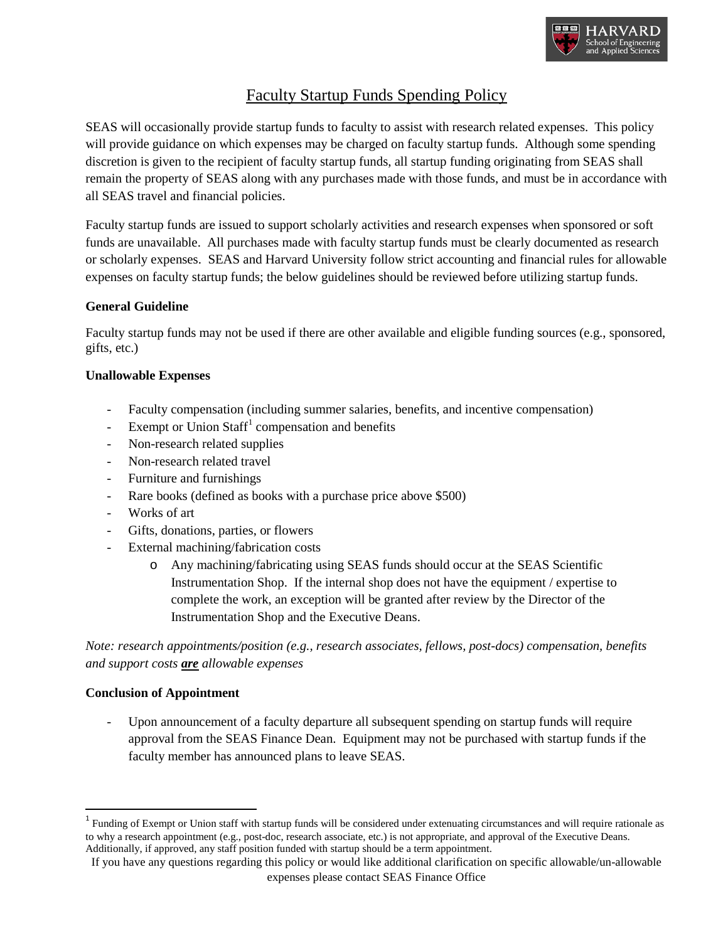

# Faculty Startup Funds Spending Policy

SEAS will occasionally provide startup funds to faculty to assist with research related expenses. This policy will provide guidance on which expenses may be charged on faculty startup funds. Although some spending discretion is given to the recipient of faculty startup funds, all startup funding originating from SEAS shall remain the property of SEAS along with any purchases made with those funds, and must be in accordance with all SEAS travel and financial policies.

Faculty startup funds are issued to support scholarly activities and research expenses when sponsored or soft funds are unavailable. All purchases made with faculty startup funds must be clearly documented as research or scholarly expenses. SEAS and Harvard University follow strict accounting and financial rules for allowable expenses on faculty startup funds; the below guidelines should be reviewed before utilizing startup funds.

## **General Guideline**

Faculty startup funds may not be used if there are other available and eligible funding sources (e.g., sponsored, gifts, etc.)

## **Unallowable Expenses**

- Faculty compensation (including summer salaries, benefits, and incentive compensation)
- Exempt or Union Staff<sup>[1](#page-0-0)</sup> compensation and benefits
- Non-research related supplies
- Non-research related travel
- Furniture and furnishings
- Rare books (defined as books with a purchase price above \$500)
- Works of art
- Gifts, donations, parties, or flowers
- External machining/fabrication costs
	- o Any machining/fabricating using SEAS funds should occur at the SEAS Scientific Instrumentation Shop. If the internal shop does not have the equipment / expertise to complete the work, an exception will be granted after review by the Director of the Instrumentation Shop and the Executive Deans.

*Note: research appointments/position (e.g., research associates, fellows, post-docs) compensation, benefits and support costs are allowable expenses*

### **Conclusion of Appointment**

Upon announcement of a faculty departure all subsequent spending on startup funds will require approval from the SEAS Finance Dean. Equipment may not be purchased with startup funds if the faculty member has announced plans to leave SEAS.

<span id="page-0-0"></span> $1$  Funding of Exempt or Union staff with startup funds will be considered under extenuating circumstances and will require rationale as to why a research appointment (e.g., post-doc, research associate, etc.) is not appropriate, and approval of the Executive Deans. Additionally, if approved, any staff position funded with startup should be a term appointment.

If you have any questions regarding this policy or would like additional clarification on specific allowable/un-allowable expenses please contact SEAS Finance Office